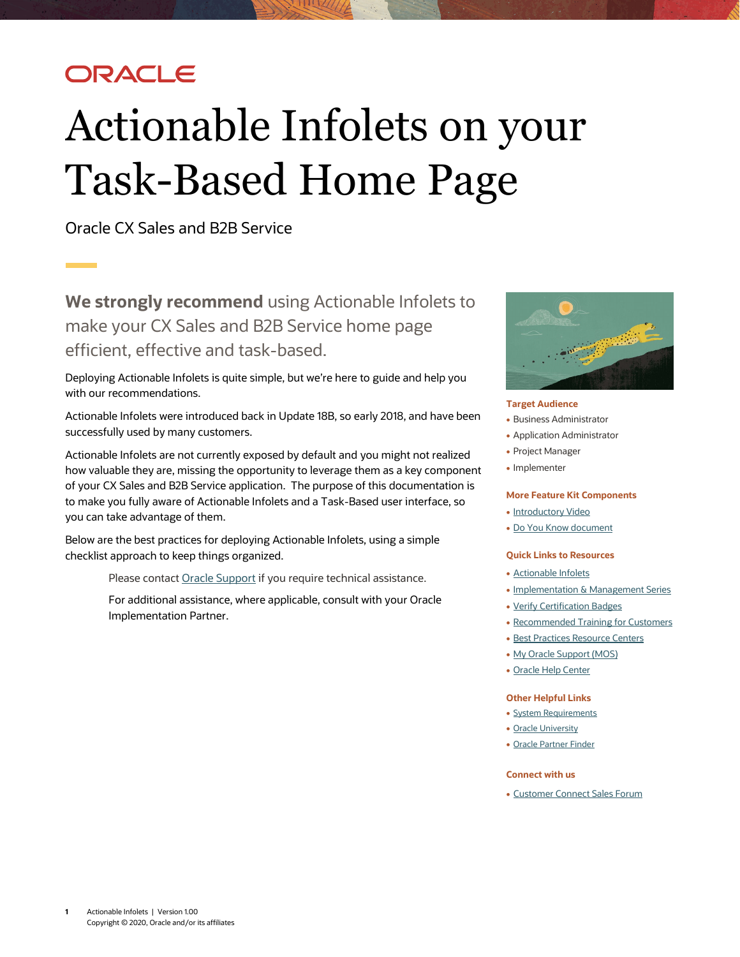## ORACLE

# Actionable Infolets on your Task-Based Home Page

Oracle CX Sales and B2B Service

**We strongly recommend** using Actionable Infolets to make your CX Sales and B2B Service home page efficient, effective and task-based.

Deploying Actionable Infolets is quite simple, but we're here to guide and help you with our recommendations.

Actionable Infolets were introduced back in Update 18B, so early 2018, and have been successfully used by many customers.

Actionable Infolets are not currently exposed by default and you might not realized how valuable they are, missing the opportunity to leverage them as a key component of your CX Sales and B2B Service application. The purpose of this documentation is to make you fully aware of Actionable Infolets and a Task-Based user interface, so you can take advantage of them.

Below are the best practices for deploying Actionable Infolets, using a simple checklist approach to keep things organized.

Please contac[t Oracle Support](https://support.oracle.com/) if you require technical assistance.

For additional assistance, where applicable, consult with your Oracle Implementation Partner.



#### **Target Audience**

- Business Administrator
- Application Administrator
- Project Manager
- Implementer

#### **More Feature Kit Components**

- [Introductory Video](https://videohub.oracle.com/media/Actionable+Infolets+for+CX+Sales+and+B2B+Service/0_v9xzuyo9)
- [Do You Know document](https://www.oracle.com/webfolder/cx-implementation/actionable-infolets-dyk.pdf)

#### **Quick Links to Resources**

- [Actionable Infolets](http://www.oracle.com/pls/topic/lookup?ctx=cloud&id=OASAL3143502)
- [Implementation & Management Series](https://www.oracle.com/a/ocom/docs/implementation-and-management-series.pdf)
- [Verify Certification Badges](https://www.youracclaim.com/org/oracle/verify)
- [Recommended Training for Customers](https://www.oracle.com/a/ocom/docs/recommended-training-and-certification-for-customers.pdf)
- [Best Practices Resource Centers](https://support.oracle.com/epmos/faces/DocumentDisplay?id1482696.1)
- [My Oracle Support \(MOS\)](https://support.oracle.com/epmos/faces/MosIndex.jspx?_afrLoop=578622290143934&_afrWindowMode=0&_adf.ctrl-state=2qo3ce9t9_53)
- [Oracle Help Center](http://www.oracle.com/pls/topic/lookup?ctx=cloud&id=engagement)

#### **Other Helpful Links**

- [System Requirements](https://www.oracle.com/system-requirements/)
- [Oracle University](https://education.oracle.com/saas-cx/cx-sales/pFamily_657)
- [Oracle Partner Finder](https://partner-finder.oracle.com/)

#### **Connect with us**

• [Customer Connect Sales Forum](https://cloudcustomerconnect.oracle.com/posts/4903f361b2)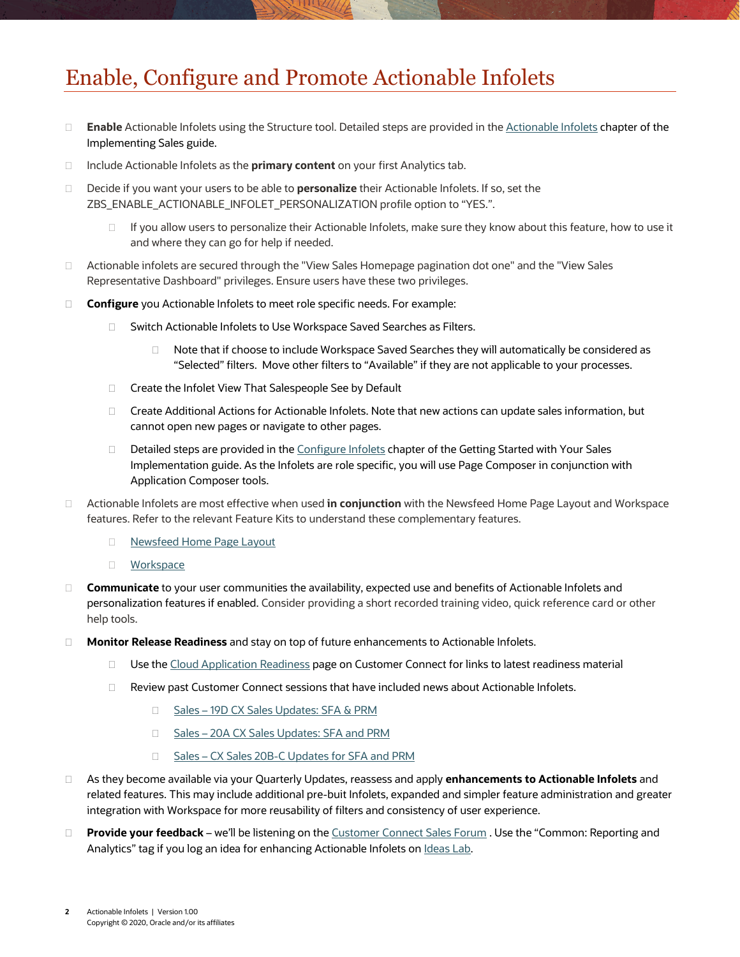## Enable, Configure and Promote Actionable Infolets

- **Enable** Actionable Infolets using the Structure tool. Detailed steps are provided in the [Actionable Infolets](http://www.oracle.com/pls/topic/lookup?ctx=cloud&id=OASAL3143502) chapter of the Implementing Sales guide.
- □ Include Actionable Infolets as the **primary content** on your first Analytics tab.
- Decide if you want your users to be able to **personalize** their Actionable Infolets. If so, set the ZBS\_ENABLE\_ACTIONABLE\_INFOLET\_PERSONALIZATION profile option to "YES.".
	- $\Box$  If you allow users to personalize their Actionable Infolets, make sure they know about this feature, how to use it and where they can go for help if needed.
- □ Actionable infolets are secured through the "View Sales Homepage pagination dot one" and the "View Sales Representative Dashboard" privileges. Ensure users have these two privileges.
- □ **Configure** you Actionable Infolets to meet role specific needs. For example:
	- □ Switch Actionable Infolets to Use Workspace Saved Searches as Filters.
		- Note that if choose to include Workspace Saved Searches they will automatically be considered as "Selected" filters. Move other filters to "Available" if they are not applicable to your processes.
	- □ Create the Infolet View That Salespeople See by Default
	- □ Create Additional Actions for Actionable Infolets. Note that new actions can update sales information, but cannot open new pages or navigate to other pages.
	- $\Box$  Detailed steps are provided in the [Configure Infolets](http://www.oracle.com/pls/topic/lookup?ctx=cloud&id=FASMC3671739) chapter of the Getting Started with Your Sales Implementation guide. As the Infolets are role specific, you will use Page Composer in conjunction with Application Composer tools.
- Actionable Infolets are most effective when used **in conjunction** with the Newsfeed Home Page Layout and Workspace features. Refer to the relevant Feature Kits to understand these complementary features.
	- D [Newsfeed Home Page Layout](https://cloudcustomerconnect.oracle.com/posts/5911c7e7d3)
	- **[Workspace](https://cloudcustomerconnect.oracle.com/posts/fd2f0367c1)**
- **Communicate** to your user communities the availability, expected use and benefits of Actionable Infolets and personalization features if enabled. Consider providing a short recorded training video, quick reference card or other help tools.
- **Monitor Release Readiness** and stay on top of future enhancements to Actionable Infolets.
	- □ Use the [Cloud Application Readiness](https://cloudcustomerconnect.oracle.com/resources/1090b9d4db/summary) page on Customer Connect for links to latest readiness material
	- □ Review past Customer Connect sessions that have included news about Actionable Infolets.
		- □ Sales [19D CX Sales Updates: SFA & PRM](https://cloudcustomerconnect.oracle.com/posts/8b14cf5ebd)
		- □ Sales [20A CX Sales Updates: SFA and PRM](https://cloudcustomerconnect.oracle.com/posts/ab2dad3bf3)
		- □ Sales [CX Sales 20B-C Updates for SFA](https://cloudcustomerconnect.oracle.com/posts/a4d7249364) and PRM
- As they become available via your Quarterly Updates, reassess and apply **enhancements to Actionable Infolets** and related features. This may include additional pre-buit Infolets, expanded and simpler feature administration and greater integration with Workspace for more reusability of filters and consistency of user experience.
- **Provide your feedback** we'll be listening on th[e Customer Connect Sales Forum](https://cloudcustomerconnect.oracle.com/posts/4903f361b2) . Use the "Common: Reporting and Analytics" tag if you log an idea for enhancing Actionable Infolets on Ideas Lab.